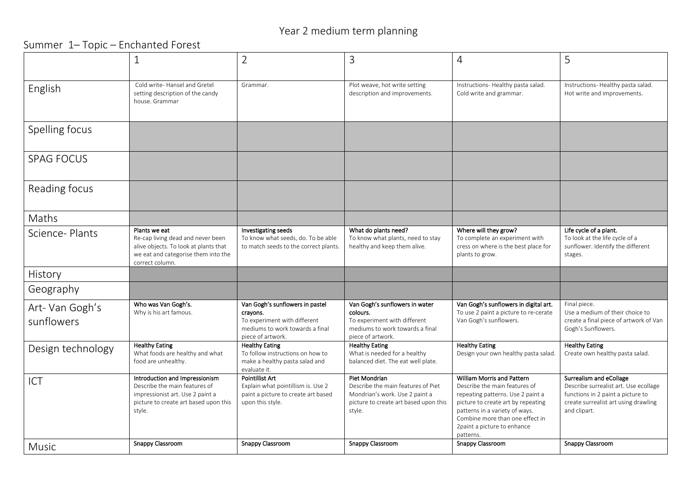## Year 2 medium term planning

Summer 1– Topic – Enchanted Forest

|                              | 1                                                                                                                                                                          | $\overline{2}$                                                                                                                              | 3                                                                                                                                                            | $\overline{4}$                                                                                                                                                                                                                                                                     | 5                                                                                                                                                                                 |
|------------------------------|----------------------------------------------------------------------------------------------------------------------------------------------------------------------------|---------------------------------------------------------------------------------------------------------------------------------------------|--------------------------------------------------------------------------------------------------------------------------------------------------------------|------------------------------------------------------------------------------------------------------------------------------------------------------------------------------------------------------------------------------------------------------------------------------------|-----------------------------------------------------------------------------------------------------------------------------------------------------------------------------------|
|                              |                                                                                                                                                                            |                                                                                                                                             |                                                                                                                                                              |                                                                                                                                                                                                                                                                                    |                                                                                                                                                                                   |
| English                      | Cold write-Hansel and Gretel<br>setting description of the candy<br>house. Grammar                                                                                         | Grammar.                                                                                                                                    | Plot weave, hot write setting<br>description and improvements.                                                                                               | Instructions-Healthy pasta salad.<br>Cold write and grammar.                                                                                                                                                                                                                       | Instructions-Healthy pasta salad.<br>Hot write and improvements.                                                                                                                  |
| Spelling focus               |                                                                                                                                                                            |                                                                                                                                             |                                                                                                                                                              |                                                                                                                                                                                                                                                                                    |                                                                                                                                                                                   |
| <b>SPAG FOCUS</b>            |                                                                                                                                                                            |                                                                                                                                             |                                                                                                                                                              |                                                                                                                                                                                                                                                                                    |                                                                                                                                                                                   |
| Reading focus                |                                                                                                                                                                            |                                                                                                                                             |                                                                                                                                                              |                                                                                                                                                                                                                                                                                    |                                                                                                                                                                                   |
| Maths                        |                                                                                                                                                                            |                                                                                                                                             |                                                                                                                                                              |                                                                                                                                                                                                                                                                                    |                                                                                                                                                                                   |
| Science-Plants               | Plants we eat<br>Re-cap living dead and never been<br>alive objects. To look at plants that<br>we eat and categorise them into the<br>correct column.                      | Investigating seeds<br>To know what seeds, do. To be able<br>to match seeds to the correct plants.                                          | What do plants need?<br>To know what plants, need to stay<br>healthy and keep them alive.                                                                    | Where will they grow?<br>To complete an experiment with<br>cress on where is the best place for<br>plants to grow.                                                                                                                                                                 | Life cycle of a plant.<br>To look at the life cycle of a<br>sunflower. Identify the different<br>stages.                                                                          |
| History                      |                                                                                                                                                                            |                                                                                                                                             |                                                                                                                                                              |                                                                                                                                                                                                                                                                                    |                                                                                                                                                                                   |
| Geography                    |                                                                                                                                                                            |                                                                                                                                             |                                                                                                                                                              |                                                                                                                                                                                                                                                                                    |                                                                                                                                                                                   |
| Art-Van Gogh's<br>sunflowers | Who was Van Gogh's.<br>Why is his art famous.                                                                                                                              | Van Gogh's sunflowers in pastel<br>crayons.<br>To experiment with different<br>mediums to work towards a final<br>piece of artwork.         | Van Gogh's sunflowers in water<br>colours.<br>To experiment with different<br>mediums to work towards a final<br>piece of artwork.                           | Van Gogh's sunflowers in digital art.<br>To use 2 paint a picture to re-cerate<br>Van Gogh's sunflowers.                                                                                                                                                                           | Final piece.<br>Use a medium of their choice to<br>create a final piece of artwork of Van<br>Gogh's Sunflowers.                                                                   |
| Design technology            | <b>Healthy Eating</b><br>What foods are healthy and what<br>food are unhealthy.                                                                                            | <b>Healthy Eating</b><br>To follow instructions on how to<br>make a healthy pasta salad and<br>evaluate it.                                 | <b>Healthy Eating</b><br>What is needed for a healthy<br>balanced diet. The eat well plate.                                                                  | <b>Healthy Eating</b><br>Design your own healthy pasta salad.                                                                                                                                                                                                                      | <b>Healthy Eating</b><br>Create own healthy pasta salad.                                                                                                                          |
| ICT                          | Introduction and Impressionism<br>Describe the main features of<br>impressionist art. Use 2 paint a<br>picture to create art based upon this<br>style.<br>Snappy Classroom | <b>Pointillist Art</b><br>Explain what pointillism is. Use 2<br>paint a picture to create art based<br>upon this style.<br>Snappy Classroom | Piet Mondrian<br>Describe the main features of Piet<br>Mondrian's work. Use 2 paint a<br>picture to create art based upon this<br>style.<br>Snappy Classroom | <b>William Morris and Pattern</b><br>Describe the main features of<br>repeating patterns. Use 2 paint a<br>picture to create art by repeating<br>patterns in a variety of ways.<br>Combine more than one effect in<br>2paint a picture to enhance<br>patterns.<br>Snappy Classroom | Surrealism and eCollage<br>Describe surrealist art. Use ecollage<br>functions in 2 paint a picture to<br>create surrealist art using drawling<br>and clipart.<br>Snappy Classroom |
| <b>Music</b>                 |                                                                                                                                                                            |                                                                                                                                             |                                                                                                                                                              |                                                                                                                                                                                                                                                                                    |                                                                                                                                                                                   |